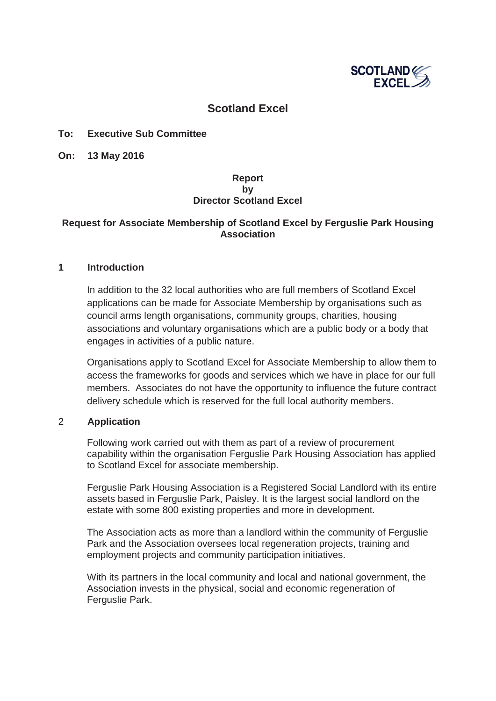

## **Scotland Excel**

#### **To: Executive Sub Committee**

**On: 13 May 2016**

### **Report by Director Scotland Excel**

### **Request for Associate Membership of Scotland Excel by Ferguslie Park Housing Association**

#### **1 Introduction**

In addition to the 32 local authorities who are full members of Scotland Excel applications can be made for Associate Membership by organisations such as council arms length organisations, community groups, charities, housing associations and voluntary organisations which are a public body or a body that engages in activities of a public nature.

Organisations apply to Scotland Excel for Associate Membership to allow them to access the frameworks for goods and services which we have in place for our full members. Associates do not have the opportunity to influence the future contract delivery schedule which is reserved for the full local authority members.

#### 2 **Application**

Following work carried out with them as part of a review of procurement capability within the organisation Ferguslie Park Housing Association has applied to Scotland Excel for associate membership.

Ferguslie Park Housing Association is a Registered Social Landlord with its entire assets based in Ferguslie Park, Paisley. It is the largest social landlord on the estate with some 800 existing properties and more in development.

The Association acts as more than a landlord within the community of Ferguslie Park and the Association oversees local regeneration projects, training and employment projects and community participation initiatives.

With its partners in the local community and local and national government, the Association invests in the physical, social and economic regeneration of Ferguslie Park.